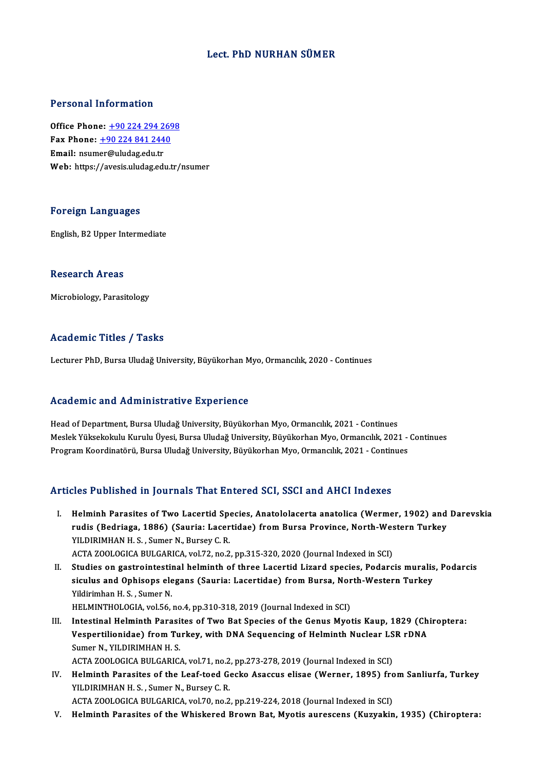### Lect. PhD NURHAN SÜMER

### Personal Information

Office Phone: +90 224 294 2698 1 0100111 11101 1111011<br>Office Phone: <u>+90 224 294 269</u><br>Fax Phone: <u>+90 224 841 2440</u> Office Phone: <u>+90 224 294 2</u><br>Fax Phone: <u>+90 224 841 244</u><br>Email: nsum[er@uludag.edu.tr](tel:+90 224 841 2440) Email: nsumer@uludag.edu.tr<br>Web: https://avesis.uludag.edu.tr/nsumer

### Foreign Languages

English, B2 Upper Intermediate

### **Research Areas**

Microbiology, Parasitology

### Academic Titles / Tasks

Lecturer PhD, Bursa Uludağ University, Büyükorhan Myo, Ormancılık, 2020 - Continues

### Academic and Administrative Experience

Head of Department, Bursa Uludağ University, Büyükorhan Myo, Ormancılık, 2021 - Continues Meslek Yüksekokulu Kurulu Yesiye Yaretiye<br>Head of Department, Bursa Uludağ University, Büyükorhan Myo, Ormancılık, 2021 - Continues<br>Meslek Yüksekokulu Kurulu Üyesi, Bursa Uludağ University, Büyükorhan Myo, Ormancılık, 2021 Head of Department, Bursa Uludağ University, Büyükorhan Myo, Ormancılık, 2021 - Continues<br>Meslek Yüksekokulu Kurulu Üyesi, Bursa Uludağ University, Büyükorhan Myo, Ormancılık, 2021 -<br>Program Koordinatörü, Bursa Uludağ Univ

# Program Koordinatörü, Bursa Uludağ University, Büyükorhan Myo, Ormancılık, 2021 - Continues<br>Articles Published in Journals That Entered SCI, SSCI and AHCI Indexes

- rticles Published in Journals That Entered SCI, SSCI and AHCI Indexes<br>I. Helminh Parasites of Two Lacertid Species, Anatololacerta anatolica (Wermer, 1902) and Darevskia<br>Rudia (Badriaga, 1996) (Sauria: Lacertidae) from Bur rtes Fushshed in Journals That Enter ou Sol, Soor and Thref Indenes<br>Helminh Parasites of Two Lacertid Species, Anatololacerta anatolica (Wermer, 1902) and<br>rudis (Bedriaga, 1886) (Sauria: Lacertidae) from Bursa Province, No Helminh Parasites of Two Lacertid Spe<br>rudis (Bedriaga, 1886) (Sauria: Lacer<br>YILDIRIMHAN H. S., Sumer N., Bursey C. R.<br>ACTA ZOOLOCICA BULGABICA vol 72 no.2 rudis (Bedriaga, 1886) (Sauria: Lacertidae) from Bursa Province, North-Western Turkey<br>YILDIRIMHAN H. S., Sumer N., Bursey C. R.<br>ACTA ZOOLOGICA BULGARICA, vol.72, no.2, pp.315-320, 2020 (Journal Indexed in SCI)
- YILDIRIMHAN H. S. , Sumer N., Bursey C. R.<br>ACTA ZOOLOGICA BULGARICA, vol.72, no.2, pp.315-320, 2020 (Journal Indexed in SCI)<br>II. Studies on gastrointestinal helminth of three Lacertid Lizard species, Podarcis muralis, Poda ACTA ZOOLOGICA BULGARICA, vol.72, no.2, pp.315-320, 2020 (Journal Indexed in SCI)<br>Studies on gastrointestinal helminth of three Lacertid Lizard species, Podarcis muralis<br>siculus and Ophisops elegans (Sauria: Lacertidae) fr Studies on gastrointesti<br>siculus and Ophisops ele<br>Yildirimhan H.S., Sumer N.<br>HELMINTHOLOCLA vol 56 siculus and Ophisops elegans (Sauria: Lacertidae) from Bursa, North-Western Turkey<br>Yildirimhan H.S., Sumer N.<br>HELMINTHOLOGIA, vol.56, no.4, pp.310-318, 2019 (Journal Indexed in SCI)

III. Intestinal Helminth Parasites of Two Bat Species of the Genus Myotis Kaup, 1829 (Chiroptera: HELMINTHOLOGIA, vol.56, no.4, pp.310-318, 2019 (Journal Indexed in SCI)<br>Intestinal Helminth Parasites of Two Bat Species of the Genus Myotis Kaup, 1829 (Ch<br>Vespertilionidae) from Turkey, with DNA Sequencing of Helminth Nuc Intestinal Helminth Parasi<br>Vespertilionidae) from Tu<br>Sumer N., YILDIRIMHAN H. S.<br>ACTA ZOOLOGICA BULGABIC. Vespertilionidae) from Turkey, with DNA Sequencing of Helminth Nuclear LS<br>Sumer N., YILDIRIMHAN H. S.<br>ACTA ZOOLOGICA BULGARICA, vol.71, no.2, pp.273-278, 2019 (Journal Indexed in SCI)<br>Helminth Perseites of the Leef teed Ce

Sumer N., YILDIRIMHAN H. S.<br>ACTA ZOOLOGICA BULGARICA, vol.71, no.2, pp.273-278, 2019 (Journal Indexed in SCI)<br>IV. Helminth Parasites of the Leaf-toed Gecko Asaccus elisae (Werner, 1895) from Sanliurfa, Turkey<br>VILDIBIMHAN H ACTA ZOOLOGICA BULGARICA, vol.71, no.2<br>Helminth Parasites of the Leaf-toed Government R.S., Sumer N., Bursey C.R.<br>ACTA ZOOLOGICA BULGARICA vol.70, no.3 Helminth Parasites of the Leaf-toed Gecko Asaccus elisae (Werner, 1895) fro<br>YILDIRIMHAN H. S., Sumer N., Bursey C. R.<br>ACTA ZOOLOGICA BULGARICA, vol.70, no.2, pp.219-224, 2018 (Journal Indexed in SCI)<br>Helminth Parasites of YILDIRIMHAN H. S. , Sumer N., Bursey C. R.<br>ACTA ZOOLOGICA BULGARICA, vol.70, no.2, pp.219-224, 2018 (Journal Indexed in SCI)<br>V. Helminth Parasites of the Whiskered Brown Bat, Myotis aurescens (Kuzyakin, 1935) (Chiropter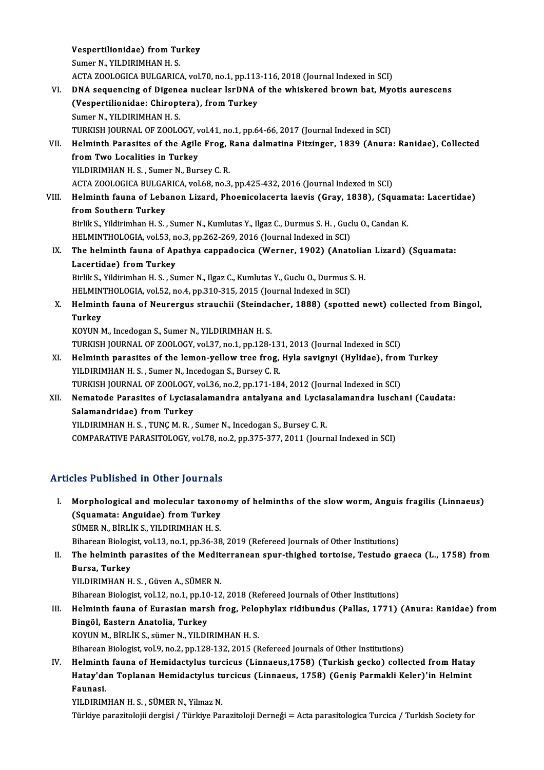Vespertilionidae) from Turkey<br>Sumer N, VII DIPIMHAN H, S **Vespertilionidae) from Tu<br>Sumer N., YILDIRIMHAN H. S.<br>ACTA ZOOLOGICA BULGABIG.** Vespertilionidae) from Turkey<br>Sumer N., YILDIRIMHAN H. S.<br>ACTA ZOOLOGICA BULGARICA, vol.70, no.1, pp.113-116, 2018 (Journal Indexed in SCI)<br>DNA sequencing of Digenee nuclear larDNA of the urbiglianed brown bat. Myq Sumer N., YILDIRIMHAN H. S.<br>ACTA ZOOLOGICA BULGARICA, vol.70, no.1, pp.113-116, 2018 (Journal Indexed in SCI)<br>VI. DNA sequencing of Digenea nuclear IsrDNA of the whiskered brown bat, Myotis aurescens<br>(Veepertilionides: Chi ACTA ZOOLOGICA BULGARICA, vol.70, no.1, pp.113<br>DNA sequencing of Digenea nuclear IsrDNA (<br>(Vespertilionidae: Chiroptera), from Turkey<br>Sumer N, VII DIPIMHAN H S **DNA sequencing of Digene<br>(Vespertilionidae: Chiropt<br>Sumer N., YILDIRIMHAN H. S.<br>TURKISH JOURNAL OF 700LC** (Vespertilionidae: Chiroptera), from Turkey<br>Sumer N., YILDIRIMHAN H. S.<br>TURKISH JOURNAL OF ZOOLOGY, vol.41, no.1, pp.64-66, 2017 (Journal Indexed in SCI)<br>Helminth Perseites of the Agile Freg. Pena delmatine Eitzinger, 1939 Sumer N., YILDIRIMHAN H. S.<br>TURKISH JOURNAL OF ZOOLOGY, vol.41, no.1, pp.64-66, 2017 (Journal Indexed in SCI)<br>VII. Helminth Parasites of the Agile Frog, Rana dalmatina Fitzinger, 1839 (Anura: Ranidae), Collected<br>from Two L TURKISH JOURNAL OF ZOOLOGY, v<br>Helminth Parasites of the Agile<br>from Two Localities in Turkey<br>VILDIBIMHAN H.S. Sumer N. Bur YILDIRIMHAN H. S., Sumer N., Bursey C. R. ACTA ZOOLOGICA BULGARICA, vol.68, no.3, pp.425-432, 2016 (Journal Indexed in SCI) YILDIRIMHAN H. S. , Sumer N., Bursey C. R.<br>ACTA ZOOLOGICA BULGARICA, vol.68, no.3, pp.425-432, 2016 (Journal Indexed in SCI)<br>VIII. Helminth fauna of Lebanon Lizard, Phoenicolacerta laevis (Gray, 1838), (Squamata: Lacer ACTA ZOOLOGICA BULGA<br>Helminth fauna of Leba<br>from Southern Turkey<br>Birlik S. Vildirimbon H. S Helminth fauna of Lebanon Lizard, Phoenicolacerta laevis (Gray, 1838), (Squam<br>from Southern Turkey<br>Birlik S., Yildirimhan H. S. , Sumer N., Kumlutas Y., Ilgaz C., Durmus S. H. , Guclu O., Candan K.<br>HELMINTHOLOCIA, Yol 53, from Southern Turkey<br>Birlik S., Yildirimhan H. S. , Sumer N., Kumlutas Y., Ilgaz C., Durmus S. H. , Guc.<br>HELMINTHOLOGIA, vol.53, no.3, pp.262-269, 2016 (Journal Indexed in SCI)<br>The helminth foung of Anathue cannodesise (We Birlik S., Yildirimhan H. S., Sumer N., Kumlutas Y., Ilgaz C., Durmus S. H., Guclu O., Candan K.<br>HELMINTHOLOGIA, vol.53, no.3, pp.262-269, 2016 (Journal Indexed in SCI)<br>IX. The helminth fauna of Apathya cappadocica (Werner HELMINTHOLOGIA, vol.53, no.3, pp.262-269, 2016 (Journal Indexed in SCI)<br>The helminth fauna of Apathya cappadocica (Werner, 1902) (Anatolia<br>Lacertidae) from Turkey<br>Birlik S., Yildirimhan H. S. , Sumer N., Ilgaz C., Kumlutas The helminth fauna of Apathya cappadocica (Werner, 1902) (Anatolia<br>Lacertidae) from Turkey<br>Birlik S., Yildirimhan H. S. , Sumer N., Ilgaz C., Kumlutas Y., Guclu O., Durmus S. H.<br>HELMINTHOLOCIA vol.52, no.4, np.310,315,3015 HELMINTHOLOGIA, vol.52, no.4, pp.310-315, 2015 (Journal Indexed in SCI) Birlik S., Yildirimhan H. S. , Sumer N., Ilgaz C., Kumlutas Y., Guclu O., Durmus S. H.<br>HELMINTHOLOGIA, vol.52, no.4, pp.310-315, 2015 (Journal Indexed in SCI)<br>X. Helminth fauna of Neurergus strauchii (Steindacher, 1888) (s HELMIN<br>Helmint<br>Turkey<br><sup>KOVIN</sup> ! Helminth fauna of Neurergus strauchii (Steinda)<br>Turkey<br>KOYUN M., Incedogan S., Sumer N., YILDIRIMHAN H. S.<br>TURKISH JOURNAL OF 7001.0CV vol 37, no 1, nn 139.2 Turkey<br>KOYUN M., Incedogan S., Sumer N., YILDIRIMHAN H. S.<br>TURKISH JOURNAL OF ZOOLOGY, vol.37, no.1, pp.128-131, 2013 (Journal Indexed in SCI)<br>Helminth parasites of the lamen vollow tree frog. Hyla sevignyi (Hylidee), fron KOYUN M., Incedogan S., Sumer N., YILDIRIMHAN H. S.<br>TURKISH JOURNAL OF ZOOLOGY, vol.37, no.1, pp.128-131, 2013 (Journal Indexed in SCI)<br>XI. Helminth parasites of the lemon-yellow tree frog, Hyla savignyi (Hylidae), from Tu TURKISH JOURNAL OF ZOOLOGY, vol.37, no.1, pp.128-13<br>Helminth parasites of the lemon-yellow tree frog,<br>YILDIRIMHAN H. S. , Sumer N., Incedogan S., Bursey C. R.<br>TURKISH JOURNAL OF 7001 0CY vol.36, no.2, nn.171, 19 Helminth parasites of the lemon-yellow tree frog, Hyla savignyi (Hylidae), fron<br>YILDIRIMHAN H. S., Sumer N., Incedogan S., Bursey C. R.<br>TURKISH JOURNAL OF ZOOLOGY, vol.36, no.2, pp.171-184, 2012 (Journal Indexed in SCI)<br>Na XII. Nematode Parasites of Lyciasalamandra antalyana and Lyciasalamandra luschani (Caudata:<br>Salamandridae) from Turkey TURKISH JOURNAL OF ZOOLOGY,<br>Nematode Parasites of Lycias<br>Salamandridae) from Turkey<br>VU DIPIMHAN H S - TING M B YILDIRIMHAN H. S., TUNÇM.R., Sumer N., Incedogan S., Bursey C.R.

COMPARATIVE PARASITOLOGY, vol.78, no.2, pp.375-377, 2011 (Journal Indexed in SCI)

## Articles Published in Other Journals

rticles Published in Other Journals<br>I. Morphological and molecular taxonomy of helminths of the slow worm, Anguis fragilis (Linnaeus)<br>(Sayamata: Anguidae) from Turkey Morphological and molecular taxone<br>(Squamata: Anguidae) from Turkey<br>SÜMER N. RIRI IK S. VII DIRIMHAN H. S. Morphological and molecular taxon<br>(Squamata: Anguidae) from Turkey<br>SÜMER N., BİRLİK S., YILDIRIMHAN H. S.<br>Biharean Biologist vol 12 no 1 nn 26.29 (Squamata: Anguidae) from Turkey<br>SÜMER N., BİRLİK S., YILDIRIMHAN H. S.<br>Biharean Biologist, vol.13, no.1, pp.36-38, 2019 (Refereed Journals of Other Institutions) SÜMER N., BİRLİK S., YILDIRIMHAN H. S.<br>Biharean Biologist, vol.13, no.1, pp.36-38, 2019 (Refereed Journals of Other Institutions)<br>II. The helminth parasites of the Mediterranean spur-thighed tortoise, Testudo graeca (L

Biharean Biologi<br><mark>The helminth p<br>Bursa, Turkey</mark><br>YU DIPIMHAN H The helminth parasites of the Medit<br>Bursa, Turkey<br>YILDIRIMHAN H. S., Güven A., SÜMER N.<br>Bibarean Biologist vol 12 no 1 nn 10 12

Bursa, Turkey<br>YILDIRIMHAN H. S. , Güven A., SÜMER N.<br>Biharean Biologist, vol.12, no.1, pp.10-12, 2018 (Refereed Journals of Other Institutions)

YILDIRIMHAN H. S. , Güven A., SÜMER N.<br>Biharean Biologist, vol.12, no.1, pp.10-12, 2018 (Refereed Journals of Other Institutions)<br>III. Helminth fauna of Eurasian marsh frog, Pelophylax ridibundus (Pallas, 1771) (Anura: Biharean Biologist, vol.12, no.1, pp.10<br>Helminth fauna of Eurasian mars<br>Bingöl, Eastern Anatolia, Turkey<br>KOVUN M. BiBLİK S. Sümer N. VU DI Helminth fauna of Eurasian marsh frog, Pelo<br>Bingöl, Eastern Anatolia, Turkey<br>KOYUN M., BİRLİK S., sümer N., YILDIRIMHAN H. S.<br>Bibarean Biologist vol 9, no 2, nn 129, 122, 2015 (E Bingöl, Eastern Anatolia, Turkey<br>KOYUN M., BİRLİK S., sümer N., YILDIRIMHAN H. S.<br>Biharean Biologist, vol.9, no.2, pp.128-132, 2015 (Refereed Journals of Other Institutions)

KOYUN M., BİRLİK S., sümer N., YILDIRIMHAN H. S.<br>Biharean Biologist, vol.9, no.2, pp.128-132, 2015 (Refereed Journals of Other Institutions)<br>IV. Helminth fauna of Hemidactylus turcicus (Linnaeus,1758) (Turkish gecko) colle Biharean Biologist, vol.9, no.2, pp.128-132, 2015 (Refereed Journals of Other Institutions)<br>Helminth fauna of Hemidactylus turcicus (Linnaeus,1758) (Turkish gecko) collected from Hatay<br>Hatay'dan Toplanan Hemidactylus turci Helmint<mark>h</mark><br>Hatay'da<br>Faunasi.<br>YU DIPIM Hatay'dan Toplanan Hemidactylus turcicus (Linnaeus, 1758) (Geniş Parmakli Keler)'in Helmint<br>Faunasi.<br>YILDIRIMHAN H. S. , SÜMER N., Yilmaz N.

Türkiye parazitolojii dergisi / Türkiye Parazitoloji Derneği = Acta parasitologica Turcica / Turkish Society for